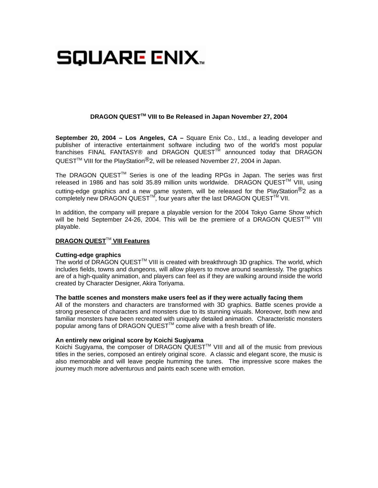# SQUARE ENIX..

## **DRAGON QUESTTM VIII to Be Released in Japan November 27, 2004**

**September 20, 2004 – Los Angeles, CA –** Square Enix Co., Ltd., a leading developer and publisher of interactive entertainment software including two of the world's most popular franchises FINAL FANTASY® and DRAGON QUEST $^{\text{TM}}$  announced today that DRAGON QUEST<sup>TM</sup> VIII for the PlayStation<sup>®</sup>2, will be released November 27, 2004 in Japan.

The DRAGON QUEST<sup>™</sup> Series is one of the leading RPGs in Japan. The series was first released in 1986 and has sold 35.89 million units worldwide. DRAGON QUEST™ VIII, using cutting-edge graphics and a new game system, will be released for the PlayStation<sup>®</sup>2 as a completely new DRAGON QUEST<sup>™</sup>, four years after the last DRAGON QUEST<sup>™</sup> VII.

In addition, the company will prepare a playable version for the 2004 Tokyo Game Show which will be held September 24-26, 2004. This will be the premiere of a DRAGON QUEST<sup>TM</sup> VIII playable.

## **DRAGON QUEST<sup>™</sup> VIII Features**

#### **Cutting-edge graphics**

The world of DRAGON QUEST<sup>TM</sup> VIII is created with breakthrough 3D graphics. The world, which includes fields, towns and dungeons, will allow players to move around seamlessly. The graphics are of a high-quality animation, and players can feel as if they are walking around inside the world created by Character Designer, Akira Toriyama.

#### **The battle scenes and monsters make users feel as if they were actually facing them**

All of the monsters and characters are transformed with 3D graphics. Battle scenes provide a strong presence of characters and monsters due to its stunning visuals. Moreover, both new and familiar monsters have been recreated with uniquely detailed animation. Characteristic monsters popular among fans of DRAGON QUEST<sup>™</sup> come alive with a fresh breath of life.

#### **An entirely new original score by Koichi Sugiyama**

Koichi Sugiyama, the composer of DRAGON QUEST<sup>™</sup> VIII and all of the music from previous titles in the series, composed an entirely original score. A classic and elegant score, the music is also memorable and will leave people humming the tunes. The impressive score makes the journey much more adventurous and paints each scene with emotion.